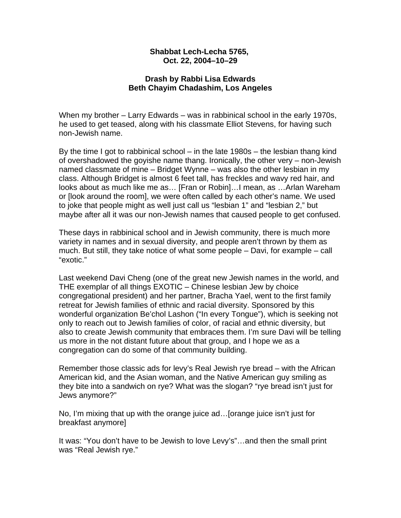## **Shabbat Lech-Lecha 5765, Oct. 22, 2004–10–29**

## **Drash by Rabbi Lisa Edwards Beth Chayim Chadashim, Los Angeles**

When my brother – Larry Edwards – was in rabbinical school in the early 1970s, he used to get teased, along with his classmate Elliot Stevens, for having such non-Jewish name.

By the time I got to rabbinical school – in the late 1980s – the lesbian thang kind of overshadowed the goyishe name thang. Ironically, the other very – non-Jewish named classmate of mine – Bridget Wynne – was also the other lesbian in my class. Although Bridget is almost 6 feet tall, has freckles and wavy red hair, and looks about as much like me as… [Fran or Robin]…I mean, as …Arlan Wareham or [look around the room], we were often called by each other's name. We used to joke that people might as well just call us "lesbian 1" and "lesbian 2," but maybe after all it was our non-Jewish names that caused people to get confused.

These days in rabbinical school and in Jewish community, there is much more variety in names and in sexual diversity, and people aren't thrown by them as much. But still, they take notice of what some people – Davi, for example – call "exotic."

Last weekend Davi Cheng (one of the great new Jewish names in the world, and THE exemplar of all things EXOTIC – Chinese lesbian Jew by choice congregational president) and her partner, Bracha Yael, went to the first family retreat for Jewish families of ethnic and racial diversity. Sponsored by this wonderful organization Be'chol Lashon ("In every Tongue"), which is seeking not only to reach out to Jewish families of color, of racial and ethnic diversity, but also to create Jewish community that embraces them. I'm sure Davi will be telling us more in the not distant future about that group, and I hope we as a congregation can do some of that community building.

Remember those classic ads for levy's Real Jewish rye bread – with the African American kid, and the Asian woman, and the Native American guy smiling as they bite into a sandwich on rye? What was the slogan? "rye bread isn't just for Jews anymore?"

No, I'm mixing that up with the orange juice ad…[orange juice isn't just for breakfast anymore]

It was: "You don't have to be Jewish to love Levy's"…and then the small print was "Real Jewish rye."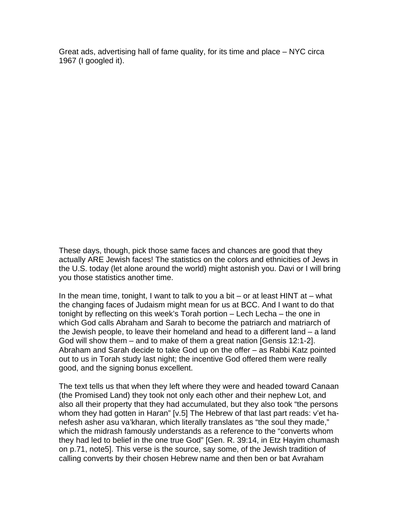Great ads, advertising hall of fame quality, for its time and place – NYC circa 1967 (I googled it).

These days, though, pick those same faces and chances are good that they actually ARE Jewish faces! The statistics on the colors and ethnicities of Jews in the U.S. today (let alone around the world) might astonish you. Davi or I will bring you those statistics another time.

In the mean time, tonight, I want to talk to you a bit – or at least HINT at – what the changing faces of Judaism might mean for us at BCC. And I want to do that tonight by reflecting on this week's Torah portion – Lech Lecha – the one in which God calls Abraham and Sarah to become the patriarch and matriarch of the Jewish people, to leave their homeland and head to a different land – a land God will show them – and to make of them a great nation [Gensis 12:1-2]. Abraham and Sarah decide to take God up on the offer – as Rabbi Katz pointed out to us in Torah study last night; the incentive God offered them were really good, and the signing bonus excellent.

The text tells us that when they left where they were and headed toward Canaan (the Promised Land) they took not only each other and their nephew Lot, and also all their property that they had accumulated, but they also took "the persons whom they had gotten in Haran" [v.5] The Hebrew of that last part reads: v'et hanefesh asher asu va'kharan, which literally translates as "the soul they made," which the midrash famously understands as a reference to the "converts whom they had led to belief in the one true God" [Gen. R. 39:14, in Etz Hayim chumash on p.71, note5]. This verse is the source, say some, of the Jewish tradition of calling converts by their chosen Hebrew name and then ben or bat Avraham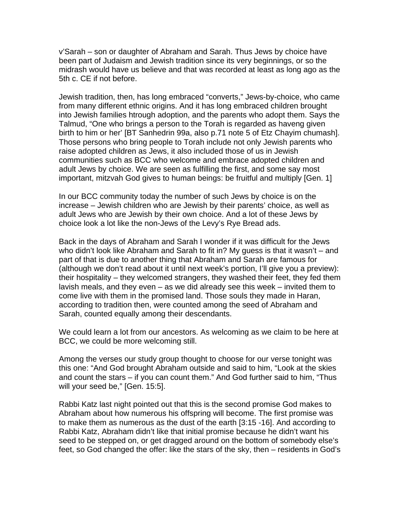v'Sarah – son or daughter of Abraham and Sarah. Thus Jews by choice have been part of Judaism and Jewish tradition since its very beginnings, or so the midrash would have us believe and that was recorded at least as long ago as the 5th c. CE if not before.

Jewish tradition, then, has long embraced "converts," Jews-by-choice, who came from many different ethnic origins. And it has long embraced children brought into Jewish families htrough adoption, and the parents who adopt them. Says the Talmud, "One who brings a person to the Torah is regarded as haveng given birth to him or her' [BT Sanhedrin 99a, also p.71 note 5 of Etz Chayim chumash]. Those persons who bring people to Torah include not only Jewish parents who raise adopted children as Jews, it also included those of us in Jewish communities such as BCC who welcome and embrace adopted children and adult Jews by choice. We are seen as fulfilling the first, and some say most important, mitzvah God gives to human beings: be fruitful and multiply [Gen. 1]

In our BCC community today the number of such Jews by choice is on the increase – Jewish children who are Jewish by their parents' choice, as well as adult Jews who are Jewish by their own choice. And a lot of these Jews by choice look a lot like the non-Jews of the Levy's Rye Bread ads.

Back in the days of Abraham and Sarah I wonder if it was difficult for the Jews who didn't look like Abraham and Sarah to fit in? My guess is that it wasn't – and part of that is due to another thing that Abraham and Sarah are famous for (although we don't read about it until next week's portion, I'll give you a preview): their hospitality – they welcomed strangers, they washed their feet, they fed them lavish meals, and they even – as we did already see this week – invited them to come live with them in the promised land. Those souls they made in Haran, according to tradition then, were counted among the seed of Abraham and Sarah, counted equally among their descendants.

We could learn a lot from our ancestors. As welcoming as we claim to be here at BCC, we could be more welcoming still.

Among the verses our study group thought to choose for our verse tonight was this one: "And God brought Abraham outside and said to him, "Look at the skies and count the stars – if you can count them." And God further said to him, "Thus will your seed be," [Gen. 15:5].

Rabbi Katz last night pointed out that this is the second promise God makes to Abraham about how numerous his offspring will become. The first promise was to make them as numerous as the dust of the earth [3:15 -16]. And according to Rabbi Katz, Abraham didn't like that initial promise because he didn't want his seed to be stepped on, or get dragged around on the bottom of somebody else's feet, so God changed the offer: like the stars of the sky, then – residents in God's